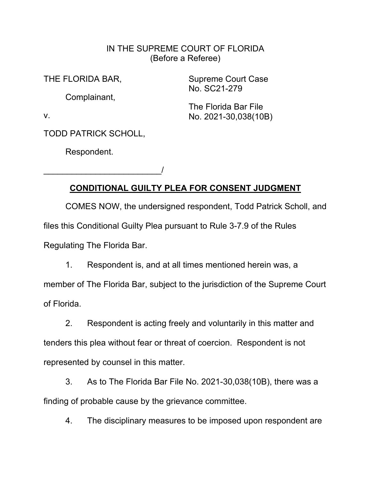## IN THE SUPREME COURT OF FLORIDA (Before a Referee)

THE FLORIDA BAR,

Complainant,

Supreme Court Case No. SC21-279

The Florida Bar File No. 2021-30,038(10B)

v.

TODD PATRICK SCHOLL,

\_\_\_\_\_\_\_\_\_\_\_\_\_\_\_\_\_\_\_\_\_\_\_\_\_/

Respondent.

## **CONDITIONAL GUILTY PLEA FOR CONSENT JUDGMENT**

COMES NOW, the undersigned respondent, Todd Patrick Scholl, and files this Conditional Guilty Plea pursuant to Rule 3-7.9 of the Rules Regulating The Florida Bar.

1. Respondent is, and at all times mentioned herein was, a member of The Florida Bar, subject to the jurisdiction of the Supreme Court of Florida.

2. Respondent is acting freely and voluntarily in this matter and tenders this plea without fear or threat of coercion. Respondent is not represented by counsel in this matter.

3. As to The Florida Bar File No. 2021-30,038(10B), there was a finding of probable cause by the grievance committee.

4. The disciplinary measures to be imposed upon respondent are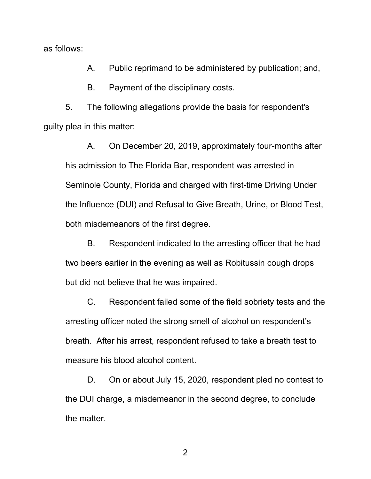as follows:

A. Public reprimand to be administered by publication; and,

B. Payment of the disciplinary costs.

5. The following allegations provide the basis for respondent's guilty plea in this matter:

A. On December 20, 2019, approximately four-months after his admission to The Florida Bar, respondent was arrested in Seminole County, Florida and charged with first-time Driving Under the Influence (DUI) and Refusal to Give Breath, Urine, or Blood Test, both misdemeanors of the first degree.

B. Respondent indicated to the arresting officer that he had two beers earlier in the evening as well as Robitussin cough drops but did not believe that he was impaired.

C. Respondent failed some of the field sobriety tests and the arresting officer noted the strong smell of alcohol on respondent's breath. After his arrest, respondent refused to take a breath test to measure his blood alcohol content.

D. On or about July 15, 2020, respondent pled no contest to the DUI charge, a misdemeanor in the second degree, to conclude the matter.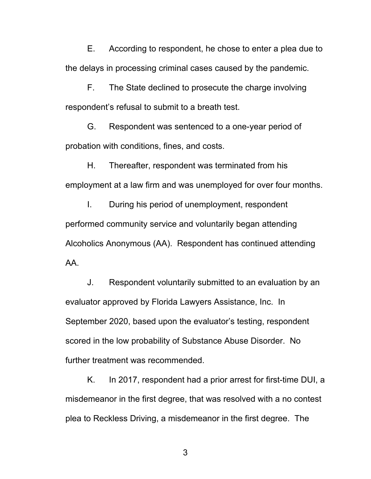E. According to respondent, he chose to enter a plea due to the delays in processing criminal cases caused by the pandemic.

F. The State declined to prosecute the charge involving respondent's refusal to submit to a breath test.

G. Respondent was sentenced to a one-year period of probation with conditions, fines, and costs.

H. Thereafter, respondent was terminated from his employment at a law firm and was unemployed for over four months.

I. During his period of unemployment, respondent performed community service and voluntarily began attending Alcoholics Anonymous (AA). Respondent has continued attending AA.

J. Respondent voluntarily submitted to an evaluation by an evaluator approved by Florida Lawyers Assistance, Inc. In September 2020, based upon the evaluator's testing, respondent scored in the low probability of Substance Abuse Disorder. No further treatment was recommended.

K. In 2017, respondent had a prior arrest for first-time DUI, a misdemeanor in the first degree, that was resolved with a no contest plea to Reckless Driving, a misdemeanor in the first degree. The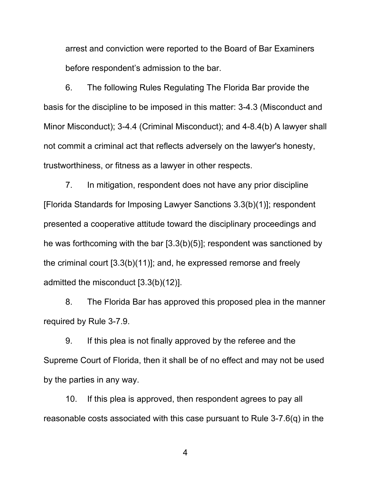arrest and conviction were reported to the Board of Bar Examiners before respondent's admission to the bar.

6. The following Rules Regulating The Florida Bar provide the basis for the discipline to be imposed in this matter: 3-4.3 (Misconduct and Minor Misconduct); 3-4.4 (Criminal Misconduct); and 4-8.4(b) A lawyer shall not commit a criminal act that reflects adversely on the lawyer's honesty, trustworthiness, or fitness as a lawyer in other respects.

7. In mitigation, respondent does not have any prior discipline [Florida Standards for Imposing Lawyer Sanctions 3.3(b)(1)]; respondent presented a cooperative attitude toward the disciplinary proceedings and he was forthcoming with the bar [3.3(b)(5)]; respondent was sanctioned by the criminal court [3.3(b)(11)]; and, he expressed remorse and freely admitted the misconduct [3.3(b)(12)].

8. The Florida Bar has approved this proposed plea in the manner required by Rule 3-7.9.

9. If this plea is not finally approved by the referee and the Supreme Court of Florida, then it shall be of no effect and may not be used by the parties in any way.

10. If this plea is approved, then respondent agrees to pay all reasonable costs associated with this case pursuant to Rule 3-7.6(q) in the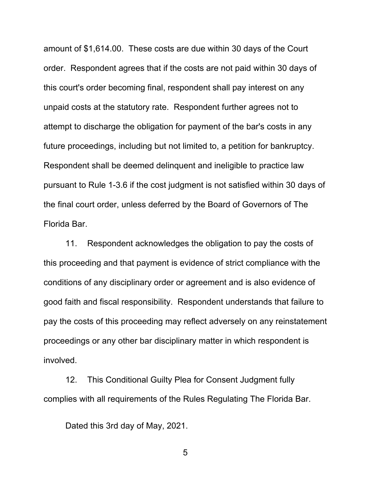amount of \$1,614.00. These costs are due within 30 days of the Court order. Respondent agrees that if the costs are not paid within 30 days of this court's order becoming final, respondent shall pay interest on any unpaid costs at the statutory rate. Respondent further agrees not to attempt to discharge the obligation for payment of the bar's costs in any future proceedings, including but not limited to, a petition for bankruptcy. Respondent shall be deemed delinquent and ineligible to practice law pursuant to Rule 1-3.6 if the cost judgment is not satisfied within 30 days of the final court order, unless deferred by the Board of Governors of The Florida Bar.

11. Respondent acknowledges the obligation to pay the costs of this proceeding and that payment is evidence of strict compliance with the conditions of any disciplinary order or agreement and is also evidence of good faith and fiscal responsibility. Respondent understands that failure to pay the costs of this proceeding may reflect adversely on any reinstatement proceedings or any other bar disciplinary matter in which respondent is involved.

12. This Conditional Guilty Plea for Consent Judgment fully complies with all requirements of the Rules Regulating The Florida Bar.

Dated this 3rd day of May, 2021.